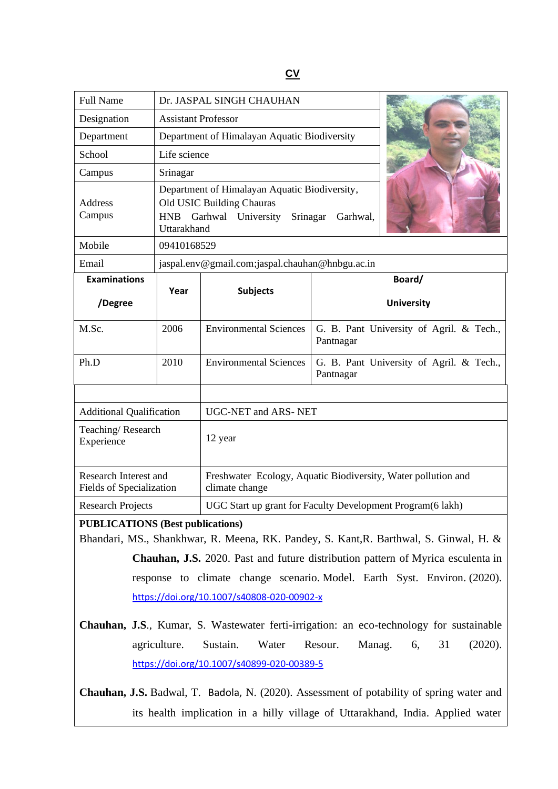## **CV**

| <b>Full Name</b>                                                                      | Dr. JASPAL SINGH CHAUHAN                                                                                                                           |                                                                                 |                                                       |                                          |  |
|---------------------------------------------------------------------------------------|----------------------------------------------------------------------------------------------------------------------------------------------------|---------------------------------------------------------------------------------|-------------------------------------------------------|------------------------------------------|--|
| Designation                                                                           | <b>Assistant Professor</b>                                                                                                                         |                                                                                 |                                                       |                                          |  |
| Department                                                                            | Department of Himalayan Aquatic Biodiversity                                                                                                       |                                                                                 |                                                       |                                          |  |
| School                                                                                | Life science                                                                                                                                       |                                                                                 |                                                       |                                          |  |
| Campus                                                                                | Srinagar                                                                                                                                           |                                                                                 |                                                       |                                          |  |
| Address<br>Campus                                                                     | Department of Himalayan Aquatic Biodiversity,<br>Old USIC Building Chauras<br>Garhwal University<br><b>HNB</b><br>Srinagar Garhwal,<br>Uttarakhand |                                                                                 |                                                       |                                          |  |
| Mobile                                                                                | 09410168529                                                                                                                                        |                                                                                 |                                                       |                                          |  |
| Email                                                                                 | jaspal.env@gmail.com;jaspal.chauhan@hnbgu.ac.in                                                                                                    |                                                                                 |                                                       |                                          |  |
| <b>Examinations</b>                                                                   |                                                                                                                                                    |                                                                                 | Board/                                                |                                          |  |
| /Degree                                                                               | Year                                                                                                                                               | <b>Subjects</b>                                                                 |                                                       | <b>University</b>                        |  |
| M.Sc.                                                                                 | 2006                                                                                                                                               | <b>Environmental Sciences</b>                                                   | G. B. Pant University of Agril. & Tech.,<br>Pantnagar |                                          |  |
| Ph.D                                                                                  | 2010                                                                                                                                               | <b>Environmental Sciences</b>                                                   | Pantnagar                                             | G. B. Pant University of Agril. & Tech., |  |
|                                                                                       |                                                                                                                                                    |                                                                                 |                                                       |                                          |  |
| <b>Additional Qualification</b>                                                       |                                                                                                                                                    | <b>UGC-NET and ARS-NET</b>                                                      |                                                       |                                          |  |
| Teaching/Research<br>Experience                                                       |                                                                                                                                                    | 12 year                                                                         |                                                       |                                          |  |
| Research Interest and<br>Fields of Specialization                                     |                                                                                                                                                    | Freshwater Ecology, Aquatic Biodiversity, Water pollution and<br>climate change |                                                       |                                          |  |
| <b>Research Projects</b>                                                              |                                                                                                                                                    | UGC Start up grant for Faculty Development Program(6 lakh)                      |                                                       |                                          |  |
| <b>PUBLICATIONS (Best publications)</b>                                               |                                                                                                                                                    |                                                                                 |                                                       |                                          |  |
| Bhandari, MS., Shankhwar, R. Meena, RK. Pandey, S. Kant, R. Barthwal, S. Ginwal, H. & |                                                                                                                                                    |                                                                                 |                                                       |                                          |  |

**Chauhan, J.S.** 2020. Past and future distribution pattern of Myrica esculenta in response to climate change scenario. Model. Earth Syst. Environ. (2020). <https://doi.org/10.1007/s40808-020-00902-x>

**Chauhan, J.S**., Kumar, S. Wastewater ferti-irrigation: an eco-technology for sustainable agriculture. Sustain. Water Resour. Manag. 6, 31 (2020). <https://doi.org/10.1007/s40899-020-00389-5>

**Chauhan, J.S.** Badwal, T. Badola, N. (2020). Assessment of potability of spring water and its health implication in a hilly village of Uttarakhand, India. Applied water